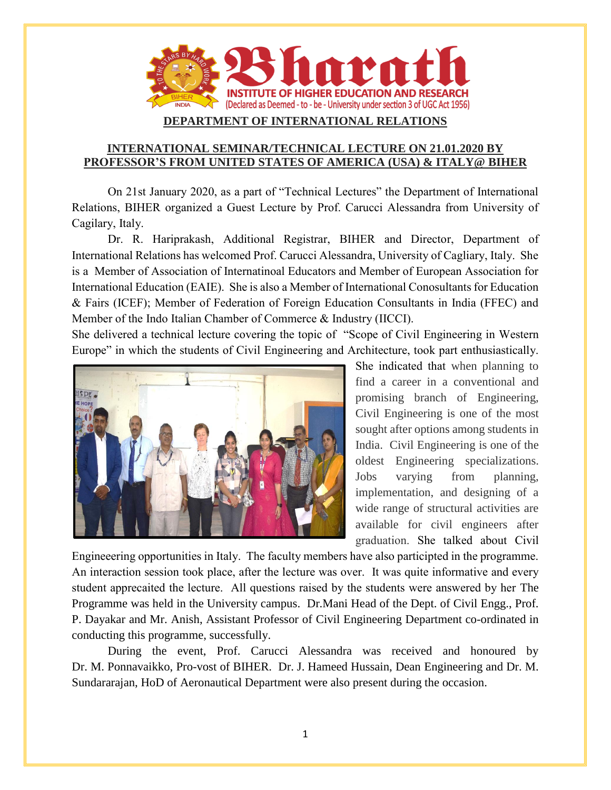

## **DEPARTMENT OF INTERNATIONAL RELATIONS**

## **INTERNATIONAL SEMINAR/TECHNICAL LECTURE ON 21.01.2020 BY PROFESSOR'S FROM UNITED STATES OF AMERICA (USA) & ITALY@ BIHER**

On 21st January 2020, as a part of "Technical Lectures" the Department of International Relations, BIHER organized a Guest Lecture by Prof. Carucci Alessandra from University of Cagilary, Italy.

Dr. R. Hariprakash, Additional Registrar, BIHER and Director, Department of International Relations has welcomed Prof. Carucci Alessandra, University of Cagliary, Italy. She is a Member of Association of Internatinoal Educators and Member of European Association for International Education (EAIE). She is also a Member of International Conosultants for Education & Fairs (ICEF); Member of Federation of Foreign Education Consultants in India (FFEC) and Member of the Indo Italian Chamber of Commerce & Industry (IICCI).

She delivered a technical lecture covering the topic of "Scope of Civil Engineering in Western Europe" in which the students of Civil Engineering and Architecture, took part enthusiastically.



She indicated that when planning to find a career in a conventional and promising branch of Engineering, Civil Engineering is one of the most sought after options among students in India. Civil Engineering is one of the oldest Engineering specializations. Jobs varying from planning, implementation, and designing of a wide range of structural activities are available for civil engineers after graduation. She talked about Civil

Engineeering opportunities in Italy. The faculty members have also participted in the programme. An interaction session took place, after the lecture was over. It was quite informative and every student apprecaited the lecture. All questions raised by the students were answered by her The Programme was held in the University campus. Dr.Mani Head of the Dept. of Civil Engg., Prof. P. Dayakar and Mr. Anish, Assistant Professor of Civil Engineering Department co-ordinated in conducting this programme, successfully.

During the event, Prof. Carucci Alessandra was received and honoured by Dr. M. Ponnavaikko, Pro-vost of BIHER. Dr. J. Hameed Hussain, Dean Engineering and Dr. M. Sundararajan, HoD of Aeronautical Department were also present during the occasion.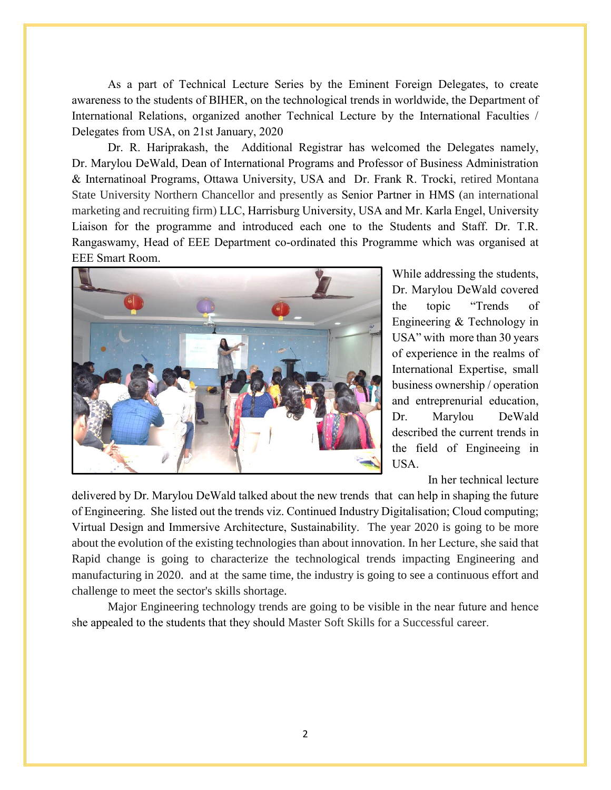As a part of Technical Lecture Series by the Eminent Foreign Delegates, to create awareness to the students of BIHER, on the technological trends in worldwide, the Department of International Relations, organized another Technical Lecture by the International Faculties / Delegates from USA, on 21st January, 2020

Dr. R. Hariprakash, the Additional Registrar has welcomed the Delegates namely, Dr. Marylou DeWald, Dean of International Programs and Professor of Business Administration & Internatinoal Programs, Ottawa University, USA and Dr. Frank R. Trocki, retired Montana State University Northern Chancellor and presently as Senior Partner in HMS (an international marketing and recruiting firm) LLC, Harrisburg University, USA and Mr. Karla Engel, University Liaison for the programme and introduced each one to the Students and Staff. Dr. T.R. Rangaswamy, Head of EEE Department co-ordinated this Programme which was organised at EEE Smart Room.



While addressing the students, Dr. Marylou DeWald covered the topic "Trends of Engineering & Technology in USA" with more than 30 years of experience in the realms of International Expertise, small business ownership / operation and entreprenurial education, Dr. Marylou DeWald described the current trends in the field of Engineeing in USA.

In her technical lecture

delivered by Dr. Marylou DeWald talked about the new trends that can help in shaping the future of Engineering. She listed out the trends viz. Continued Industry Digitalisation; Cloud computing; Virtual Design and Immersive Architecture, Sustainability. The year 2020 is going to be more about the evolution of the existing technologies than about innovation. In her Lecture, she said that Rapid change is going to characterize the technological trends impacting Engineering and manufacturing in 2020. and at the same time, the industry is going to see a continuous effort and challenge to meet the sector's skills shortage.

Major Engineering technology trends are going to be visible in the near future and hence she appealed to the students that they should Master Soft Skills for a Successful career.